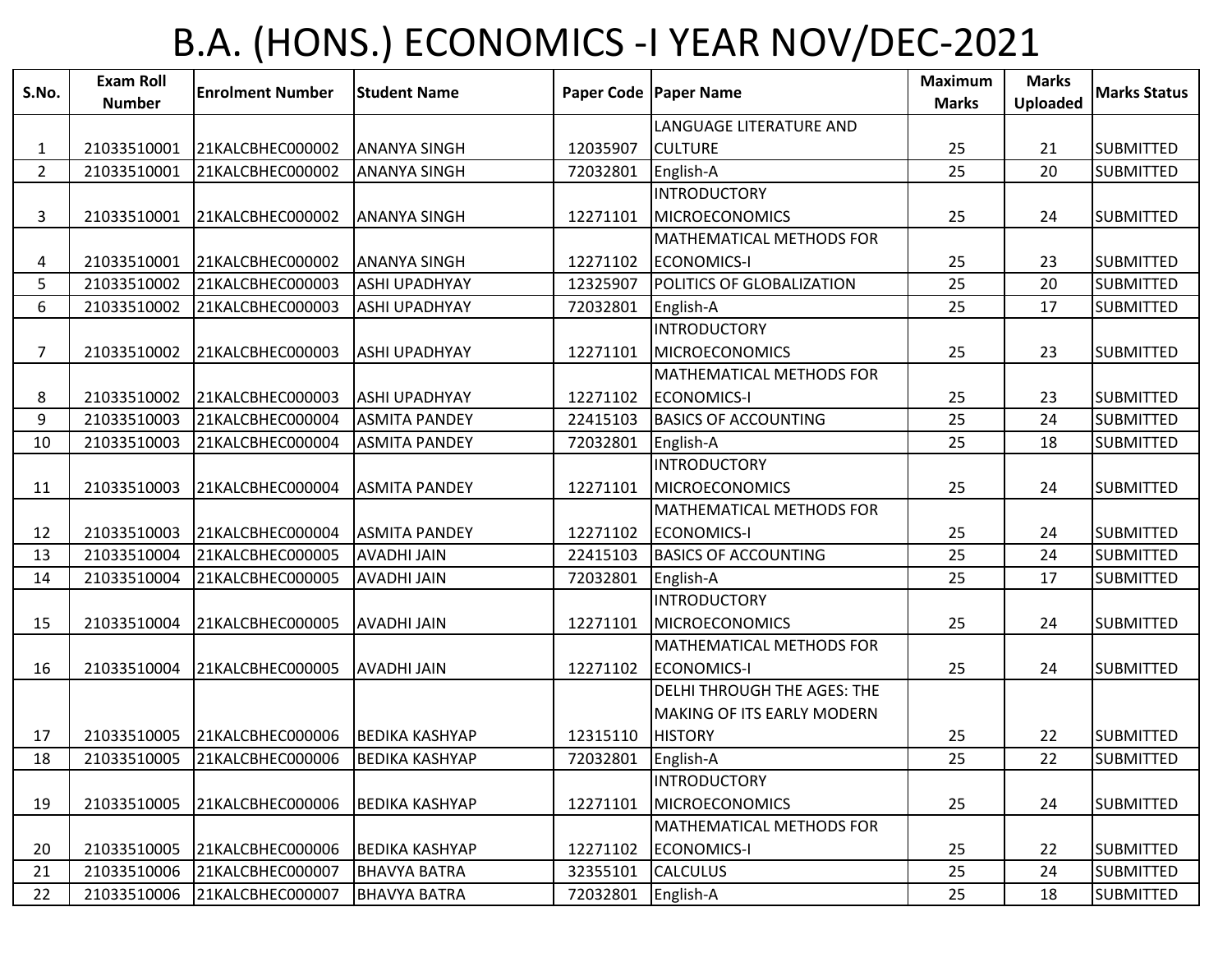## B.A. (HONS.) ECONOMICS -I YEAR NOV/DEC-2021

| S.No.          | <b>Exam Roll</b> | <b>Enrolment Number</b> | <b>Student Name</b>   |          | Paper Code   Paper Name            | <b>Maximum</b> | <b>Marks</b> | <b>Marks Status</b> |
|----------------|------------------|-------------------------|-----------------------|----------|------------------------------------|----------------|--------------|---------------------|
|                | <b>Number</b>    |                         |                       |          |                                    | <b>Marks</b>   | Uploaded     |                     |
|                |                  |                         |                       |          | LANGUAGE LITERATURE AND            |                |              |                     |
| 1              | 21033510001      | 21KALCBHEC000002        | <b>ANANYA SINGH</b>   | 12035907 | <b>CULTURE</b>                     | 25             | 21           | <b>SUBMITTED</b>    |
| $\overline{2}$ | 21033510001      | 21KALCBHEC000002        | <b>ANANYA SINGH</b>   | 72032801 | English-A                          | 25             | 20           | <b>SUBMITTED</b>    |
|                |                  |                         |                       |          | <b>INTRODUCTORY</b>                |                |              |                     |
| 3              | 21033510001      | 21KALCBHEC000002        | <b>ANANYA SINGH</b>   | 12271101 | <b>MICROECONOMICS</b>              | 25             | 24           | <b>SUBMITTED</b>    |
|                |                  |                         |                       |          | MATHEMATICAL METHODS FOR           |                |              |                     |
| 4              | 21033510001      | 21KALCBHEC000002        | <b>ANANYA SINGH</b>   | 12271102 | <b>ECONOMICS-I</b>                 | 25             | 23           | <b>SUBMITTED</b>    |
| 5 <sup>5</sup> | 21033510002      | 21KALCBHEC000003        | <b>ASHI UPADHYAY</b>  | 12325907 | POLITICS OF GLOBALIZATION          | 25             | 20           | <b>SUBMITTED</b>    |
| 6              | 21033510002      | 21KALCBHEC000003        | <b>ASHI UPADHYAY</b>  | 72032801 | English-A                          | 25             | 17           | <b>SUBMITTED</b>    |
|                |                  |                         |                       |          | <b>INTRODUCTORY</b>                |                |              |                     |
| $\overline{7}$ | 21033510002      | 21KALCBHEC000003        | <b>ASHI UPADHYAY</b>  | 12271101 | <b>MICROECONOMICS</b>              | 25             | 23           | <b>SUBMITTED</b>    |
|                |                  |                         |                       |          | MATHEMATICAL METHODS FOR           |                |              |                     |
| 8              | 21033510002      | 21KALCBHEC000003        | <b>ASHI UPADHYAY</b>  | 12271102 | <b>ECONOMICS-I</b>                 | 25             | 23           | <b>SUBMITTED</b>    |
| 9              | 21033510003      | 21KALCBHEC000004        | <b>ASMITA PANDEY</b>  | 22415103 | <b>BASICS OF ACCOUNTING</b>        | 25             | 24           | <b>SUBMITTED</b>    |
| 10             | 21033510003      | 21KALCBHEC000004        | <b>ASMITA PANDEY</b>  | 72032801 | English-A                          | 25             | 18           | <b>SUBMITTED</b>    |
|                |                  |                         |                       |          | <b>INTRODUCTORY</b>                |                |              |                     |
| 11             | 21033510003      | 21KALCBHEC000004        | <b>ASMITA PANDEY</b>  | 12271101 | <b>MICROECONOMICS</b>              | 25             | 24           | <b>SUBMITTED</b>    |
|                |                  |                         |                       |          | MATHEMATICAL METHODS FOR           |                |              |                     |
| 12             | 21033510003      | 21KALCBHEC000004        | <b>ASMITA PANDEY</b>  | 12271102 | <b>ECONOMICS-I</b>                 | 25             | 24           | <b>SUBMITTED</b>    |
| 13             | 21033510004      | 21KALCBHEC000005        | <b>AVADHI JAIN</b>    | 22415103 | <b>BASICS OF ACCOUNTING</b>        | 25             | 24           | <b>SUBMITTED</b>    |
| 14             | 21033510004      | 21KALCBHEC000005        | <b>AVADHI JAIN</b>    | 72032801 | English-A                          | 25             | 17           | <b>SUBMITTED</b>    |
|                |                  |                         |                       |          | <b>INTRODUCTORY</b>                |                |              |                     |
| 15             | 21033510004      | 21KALCBHEC000005        | <b>AVADHIJAIN</b>     | 12271101 | <b>MICROECONOMICS</b>              | 25             | 24           | <b>SUBMITTED</b>    |
|                |                  |                         |                       |          | MATHEMATICAL METHODS FOR           |                |              |                     |
| 16             | 21033510004      | 21KALCBHEC000005        | <b>AVADHI JAIN</b>    | 12271102 | <b>ECONOMICS-I</b>                 | 25             | 24           | <b>SUBMITTED</b>    |
|                |                  |                         |                       |          | <b>DELHI THROUGH THE AGES: THE</b> |                |              |                     |
|                |                  |                         |                       |          | MAKING OF ITS EARLY MODERN         |                |              |                     |
| 17             | 21033510005      | 21KALCBHEC000006        | <b>BEDIKA KASHYAP</b> | 12315110 | <b>HISTORY</b>                     | 25             | 22           | <b>SUBMITTED</b>    |
| 18             | 21033510005      | 21KALCBHEC000006        | <b>BEDIKA KASHYAP</b> | 72032801 | English-A                          | 25             | 22           | <b>SUBMITTED</b>    |
|                |                  |                         |                       |          | <b>INTRODUCTORY</b>                |                |              |                     |
| 19             | 21033510005      | 21KALCBHEC000006        | <b>BEDIKA KASHYAP</b> | 12271101 | <b>MICROECONOMICS</b>              | 25             | 24           | <b>SUBMITTED</b>    |
|                |                  |                         |                       |          | MATHEMATICAL METHODS FOR           |                |              |                     |
| 20             | 21033510005      | 21KALCBHEC000006        | <b>BEDIKA KASHYAP</b> | 12271102 | <b>ECONOMICS-I</b>                 | 25             | 22           | <b>SUBMITTED</b>    |
| 21             | 21033510006      | 21KALCBHEC000007        | <b>BHAVYA BATRA</b>   | 32355101 | <b>CALCULUS</b>                    | 25             | 24           | <b>SUBMITTED</b>    |
| 22             | 21033510006      | 21KALCBHEC000007        | <b>BHAVYA BATRA</b>   | 72032801 | English-A                          | 25             | 18           | <b>SUBMITTED</b>    |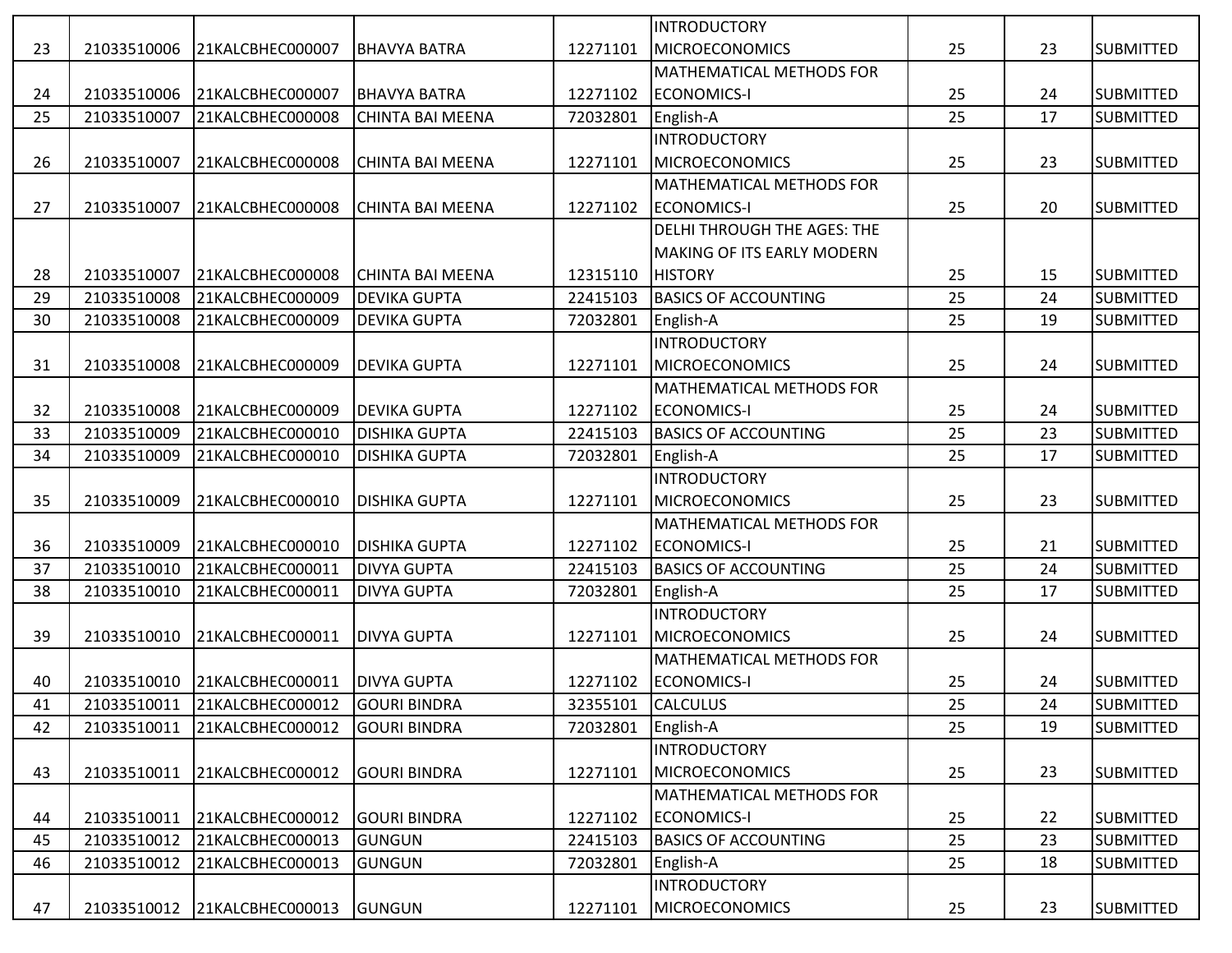|    |             |                              |                         |          | <b>INTRODUCTORY</b>                |    |    |                  |
|----|-------------|------------------------------|-------------------------|----------|------------------------------------|----|----|------------------|
| 23 | 21033510006 | 21KALCBHEC000007             | <b>BHAVYA BATRA</b>     | 12271101 | <b>MICROECONOMICS</b>              | 25 | 23 | <b>SUBMITTED</b> |
|    |             |                              |                         |          | MATHEMATICAL METHODS FOR           |    |    |                  |
| 24 | 21033510006 | 21KALCBHEC000007             | <b>BHAVYA BATRA</b>     | 12271102 | <b>ECONOMICS-I</b>                 | 25 | 24 | <b>SUBMITTED</b> |
| 25 | 21033510007 | 21KALCBHEC000008             | <b>CHINTA BAI MEENA</b> | 72032801 | English-A                          | 25 | 17 | <b>SUBMITTED</b> |
|    |             |                              |                         |          | <b>INTRODUCTORY</b>                |    |    |                  |
| 26 | 21033510007 | 21KALCBHEC000008             | <b>CHINTA BAI MEENA</b> | 12271101 | <b>MICROECONOMICS</b>              | 25 | 23 | <b>SUBMITTED</b> |
|    |             |                              |                         |          | MATHEMATICAL METHODS FOR           |    |    |                  |
| 27 | 21033510007 | 21KALCBHEC000008             | <b>CHINTA BAI MEENA</b> | 12271102 | <b>ECONOMICS-I</b>                 | 25 | 20 | <b>SUBMITTED</b> |
|    |             |                              |                         |          | <b>DELHI THROUGH THE AGES: THE</b> |    |    |                  |
|    |             |                              |                         |          | MAKING OF ITS EARLY MODERN         |    |    |                  |
| 28 | 21033510007 | 21KALCBHEC000008             | <b>CHINTA BAI MEENA</b> | 12315110 | <b>HISTORY</b>                     | 25 | 15 | <b>SUBMITTED</b> |
| 29 | 21033510008 | 21KALCBHEC000009             | <b>DEVIKA GUPTA</b>     | 22415103 | <b>BASICS OF ACCOUNTING</b>        | 25 | 24 | <b>SUBMITTED</b> |
| 30 | 21033510008 | 21KALCBHEC000009             | <b>DEVIKA GUPTA</b>     | 72032801 | English-A                          | 25 | 19 | <b>SUBMITTED</b> |
|    |             |                              |                         |          | <b>INTRODUCTORY</b>                |    |    |                  |
| 31 | 21033510008 | 21KALCBHEC000009             | <b>DEVIKA GUPTA</b>     | 12271101 | <b>MICROECONOMICS</b>              | 25 | 24 | <b>SUBMITTED</b> |
|    |             |                              |                         |          | MATHEMATICAL METHODS FOR           |    |    |                  |
| 32 | 21033510008 | 21KALCBHEC000009             | <b>DEVIKA GUPTA</b>     | 12271102 | <b>ECONOMICS-I</b>                 | 25 | 24 | <b>SUBMITTED</b> |
| 33 | 21033510009 | 21KALCBHEC000010             | <b>DISHIKA GUPTA</b>    | 22415103 | <b>BASICS OF ACCOUNTING</b>        | 25 | 23 | <b>SUBMITTED</b> |
| 34 | 21033510009 | 21KALCBHEC000010             | <b>DISHIKA GUPTA</b>    | 72032801 | English-A                          | 25 | 17 | <b>SUBMITTED</b> |
|    |             |                              |                         |          | <b>INTRODUCTORY</b>                |    |    |                  |
| 35 | 21033510009 | 21KALCBHEC000010             | <b>DISHIKA GUPTA</b>    | 12271101 | <b>MICROECONOMICS</b>              | 25 | 23 | <b>SUBMITTED</b> |
|    |             |                              |                         |          | MATHEMATICAL METHODS FOR           |    |    |                  |
| 36 | 21033510009 | 21KALCBHEC000010             | <b>DISHIKA GUPTA</b>    | 12271102 | <b>ECONOMICS-I</b>                 | 25 | 21 | <b>SUBMITTED</b> |
| 37 | 21033510010 | 21KALCBHEC000011             | <b>DIVYA GUPTA</b>      | 22415103 | <b>BASICS OF ACCOUNTING</b>        | 25 | 24 | <b>SUBMITTED</b> |
| 38 | 21033510010 | 21KALCBHEC000011             | <b>DIVYA GUPTA</b>      | 72032801 | English-A                          | 25 | 17 | <b>SUBMITTED</b> |
|    |             |                              |                         |          | <b>INTRODUCTORY</b>                |    |    |                  |
| 39 | 21033510010 | 21KALCBHEC000011             | <b>DIVYA GUPTA</b>      | 12271101 | <b>MICROECONOMICS</b>              | 25 | 24 | <b>SUBMITTED</b> |
|    |             |                              |                         |          | MATHEMATICAL METHODS FOR           |    |    |                  |
| 40 | 21033510010 | 21KALCBHEC000011             | <b>DIVYA GUPTA</b>      | 12271102 | <b>ECONOMICS-I</b>                 | 25 | 24 | <b>SUBMITTED</b> |
| 41 |             | 21033510011 21KALCBHEC000012 | <b>GOURI BINDRA</b>     | 32355101 | <b>CALCULUS</b>                    | 25 | 24 | <b>SUBMITTED</b> |
| 42 | 21033510011 | 21KALCBHEC000012             | <b>GOURI BINDRA</b>     | 72032801 | English-A                          | 25 | 19 | <b>SUBMITTED</b> |
|    |             |                              |                         |          | <b>INTRODUCTORY</b>                |    |    |                  |
| 43 | 21033510011 | 21KALCBHEC000012             | <b>GOURI BINDRA</b>     | 12271101 | <b>MICROECONOMICS</b>              | 25 | 23 | <b>SUBMITTED</b> |
|    |             |                              |                         |          | MATHEMATICAL METHODS FOR           |    |    |                  |
| 44 | 21033510011 | 21KALCBHEC000012             | <b>GOURI BINDRA</b>     | 12271102 | <b>ECONOMICS-I</b>                 | 25 | 22 | <b>SUBMITTED</b> |
| 45 | 21033510012 | 21KALCBHEC000013             | <b>GUNGUN</b>           | 22415103 | <b>BASICS OF ACCOUNTING</b>        | 25 | 23 | <b>SUBMITTED</b> |
| 46 | 21033510012 | 21KALCBHEC000013             | <b>GUNGUN</b>           | 72032801 | English-A                          | 25 | 18 | <b>SUBMITTED</b> |
|    |             |                              |                         |          | <b>INTRODUCTORY</b>                |    |    |                  |
| 47 | 21033510012 | 21KALCBHEC000013             | GUNGUN                  | 12271101 | <b>MICROECONOMICS</b>              | 25 | 23 | <b>SUBMITTED</b> |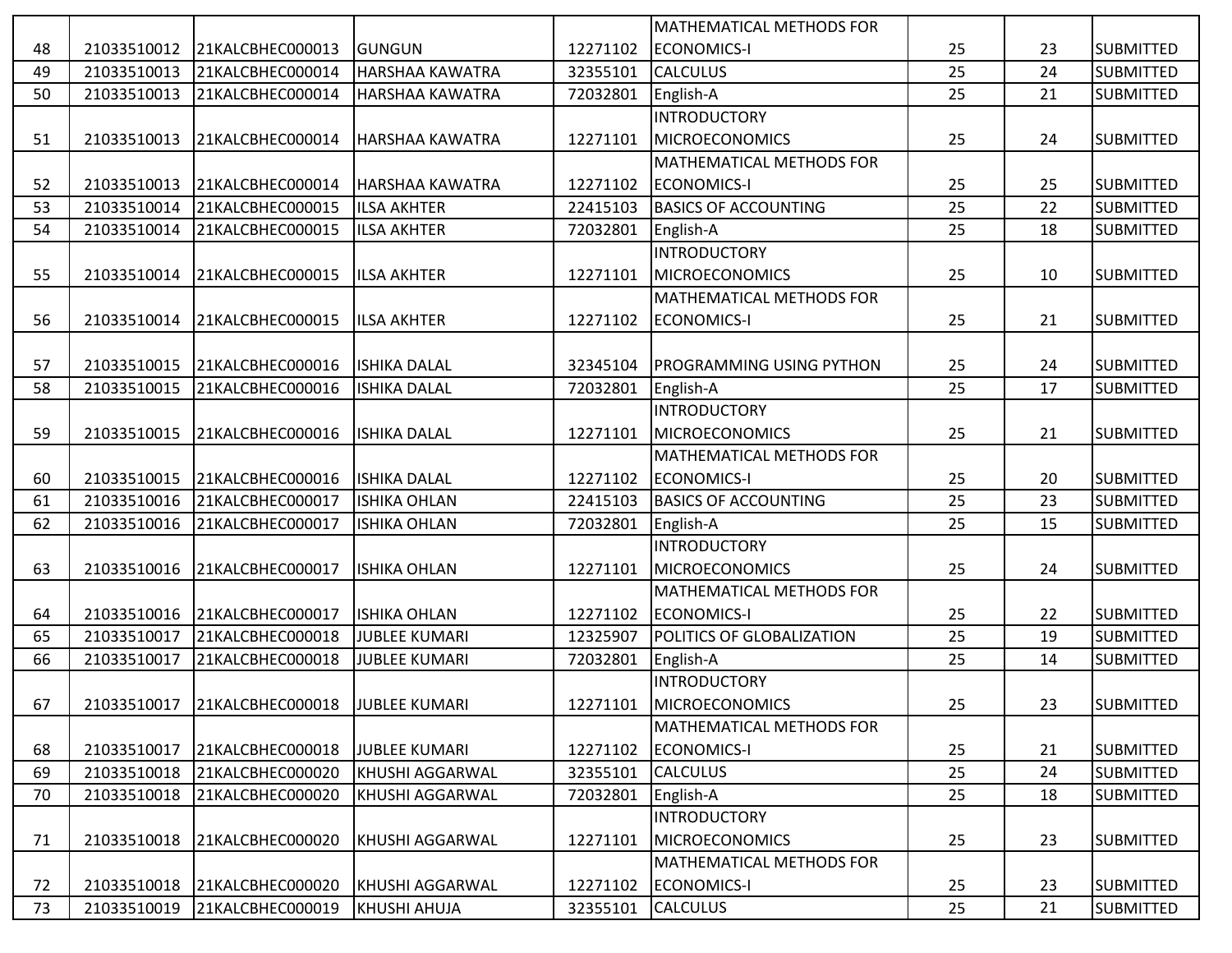|    |             |                              |                        |          | <b>MATHEMATICAL METHODS FOR</b> |    |    |                  |
|----|-------------|------------------------------|------------------------|----------|---------------------------------|----|----|------------------|
| 48 | 21033510012 | 21KALCBHEC000013             | <b>GUNGUN</b>          | 12271102 | <b>ECONOMICS-I</b>              | 25 | 23 | <b>SUBMITTED</b> |
| 49 | 21033510013 | 21KALCBHEC000014             | HARSHAA KAWATRA        | 32355101 | <b>CALCULUS</b>                 | 25 | 24 | <b>SUBMITTED</b> |
| 50 | 21033510013 | 21KALCBHEC000014             | HARSHAA KAWATRA        | 72032801 | English-A                       | 25 | 21 | <b>SUBMITTED</b> |
|    |             |                              |                        |          | <b>INTRODUCTORY</b>             |    |    |                  |
| 51 | 21033510013 | 21KALCBHEC000014             | <b>HARSHAA KAWATRA</b> | 12271101 | <b>MICROECONOMICS</b>           | 25 | 24 | <b>SUBMITTED</b> |
|    |             |                              |                        |          | MATHEMATICAL METHODS FOR        |    |    |                  |
| 52 | 21033510013 | 21KALCBHEC000014             | <b>HARSHAA KAWATRA</b> | 12271102 | <b>ECONOMICS-I</b>              | 25 | 25 | <b>SUBMITTED</b> |
| 53 | 21033510014 | 21KALCBHEC000015             | <b>ILSA AKHTER</b>     | 22415103 | <b>BASICS OF ACCOUNTING</b>     | 25 | 22 | <b>SUBMITTED</b> |
| 54 | 21033510014 | 21KALCBHEC000015             | <b>ILSA AKHTER</b>     | 72032801 | English-A                       | 25 | 18 | <b>SUBMITTED</b> |
|    |             |                              |                        |          | <b>INTRODUCTORY</b>             |    |    |                  |
| 55 | 21033510014 | 21KALCBHEC000015             | <b>ILSA AKHTER</b>     | 12271101 | <b>MICROECONOMICS</b>           | 25 | 10 | <b>SUBMITTED</b> |
|    |             |                              |                        |          | MATHEMATICAL METHODS FOR        |    |    |                  |
| 56 | 21033510014 | 21KALCBHEC000015             | <b>ILSA AKHTER</b>     | 12271102 | <b>ECONOMICS-I</b>              | 25 | 21 | <b>SUBMITTED</b> |
|    |             |                              |                        |          |                                 |    |    |                  |
| 57 | 21033510015 | 21KALCBHEC000016             | <b>ISHIKA DALAL</b>    | 32345104 | <b>PROGRAMMING USING PYTHON</b> | 25 | 24 | <b>SUBMITTED</b> |
| 58 | 21033510015 | 21KALCBHEC000016             | <b>ISHIKA DALAL</b>    | 72032801 | English-A                       | 25 | 17 | <b>SUBMITTED</b> |
|    |             |                              |                        |          | <b>INTRODUCTORY</b>             |    |    |                  |
| 59 | 21033510015 | 21KALCBHEC000016             | <b>ISHIKA DALAL</b>    | 12271101 | <b>MICROECONOMICS</b>           | 25 | 21 | <b>SUBMITTED</b> |
|    |             |                              |                        |          | MATHEMATICAL METHODS FOR        |    |    |                  |
| 60 | 21033510015 | 21KALCBHEC000016             | <b>ISHIKA DALAL</b>    | 12271102 | <b>ECONOMICS-I</b>              | 25 | 20 | <b>SUBMITTED</b> |
| 61 | 21033510016 | 21KALCBHEC000017             | <b>ISHIKA OHLAN</b>    | 22415103 | <b>BASICS OF ACCOUNTING</b>     | 25 | 23 | <b>SUBMITTED</b> |
| 62 | 21033510016 | 21KALCBHEC000017             | <b>ISHIKA OHLAN</b>    | 72032801 | English-A                       | 25 | 15 | <b>SUBMITTED</b> |
|    |             |                              |                        |          | <b>INTRODUCTORY</b>             |    |    |                  |
| 63 | 21033510016 | 21KALCBHEC000017             | <b>ISHIKA OHLAN</b>    | 12271101 | <b>MICROECONOMICS</b>           | 25 | 24 | <b>SUBMITTED</b> |
|    |             |                              |                        |          | MATHEMATICAL METHODS FOR        |    |    |                  |
| 64 | 21033510016 | 21KALCBHEC000017             | <b>ISHIKA OHLAN</b>    | 12271102 | <b>ECONOMICS-I</b>              | 25 | 22 | <b>SUBMITTED</b> |
| 65 | 21033510017 | 21KALCBHEC000018             | <b>JUBLEE KUMARI</b>   | 12325907 | POLITICS OF GLOBALIZATION       | 25 | 19 | <b>SUBMITTED</b> |
| 66 | 21033510017 | 21KALCBHEC000018             | <b>JUBLEE KUMARI</b>   | 72032801 | English-A                       | 25 | 14 | <b>SUBMITTED</b> |
|    |             |                              |                        |          | <b>INTRODUCTORY</b>             |    |    |                  |
| 67 |             | 21033510017 21KALCBHEC000018 | <b>JUBLEE KUMARI</b>   | 12271101 | MICROECONOMICS                  | 25 | 23 | <b>SUBMITTED</b> |
|    |             |                              |                        |          | <b>MATHEMATICAL METHODS FOR</b> |    |    |                  |
| 68 | 21033510017 | 21KALCBHEC000018             | <b>JUBLEE KUMARI</b>   | 12271102 | <b>ECONOMICS-I</b>              | 25 | 21 | <b>SUBMITTED</b> |
| 69 | 21033510018 | 21KALCBHEC000020             | KHUSHI AGGARWAL        | 32355101 | <b>CALCULUS</b>                 | 25 | 24 | <b>SUBMITTED</b> |
| 70 | 21033510018 | 21KALCBHEC000020             | <b>KHUSHI AGGARWAL</b> | 72032801 | English-A                       | 25 | 18 | <b>SUBMITTED</b> |
|    |             |                              |                        |          | <b>INTRODUCTORY</b>             |    |    |                  |
| 71 | 21033510018 | 21KALCBHEC000020             | KHUSHI AGGARWAL        | 12271101 | <b>MICROECONOMICS</b>           | 25 | 23 | <b>SUBMITTED</b> |
|    |             |                              |                        |          | <b>MATHEMATICAL METHODS FOR</b> |    |    |                  |
| 72 | 21033510018 | 21KALCBHEC000020             | <b>KHUSHI AGGARWAL</b> | 12271102 | <b>ECONOMICS-I</b>              | 25 | 23 | <b>SUBMITTED</b> |
| 73 | 21033510019 | 21KALCBHEC000019             | <b>KHUSHI AHUJA</b>    | 32355101 | <b>CALCULUS</b>                 | 25 | 21 | <b>SUBMITTED</b> |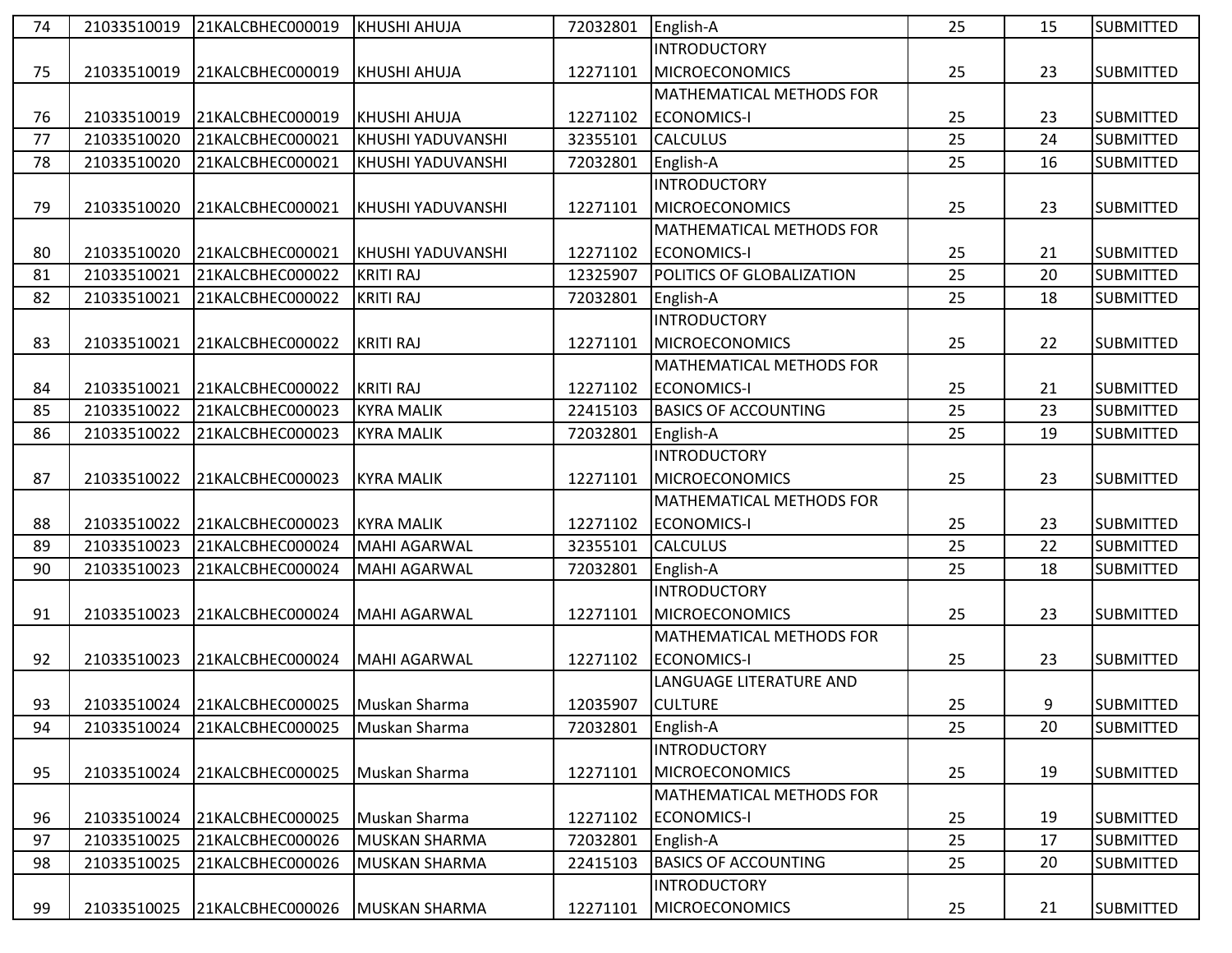| 74 | 21033510019 | 21KALCBHEC000019             | <b>KHUSHI AHUJA</b>      | 72032801 | English-A                   | 25 | 15 | <b>SUBMITTED</b> |
|----|-------------|------------------------------|--------------------------|----------|-----------------------------|----|----|------------------|
|    |             |                              |                          |          | <b>INTRODUCTORY</b>         |    |    |                  |
| 75 | 21033510019 | 21KALCBHEC000019             | <b>KHUSHI AHUJA</b>      | 12271101 | <b>MICROECONOMICS</b>       | 25 | 23 | <b>SUBMITTED</b> |
|    |             |                              |                          |          | MATHEMATICAL METHODS FOR    |    |    |                  |
| 76 | 21033510019 | 21KALCBHEC000019             | KHUSHI AHUJA             | 12271102 | <b>ECONOMICS-I</b>          | 25 | 23 | <b>SUBMITTED</b> |
| 77 | 21033510020 | 21KALCBHEC000021             | <b>KHUSHI YADUVANSHI</b> | 32355101 | <b>CALCULUS</b>             | 25 | 24 | <b>SUBMITTED</b> |
| 78 | 21033510020 | 21KALCBHEC000021             | KHUSHI YADUVANSHI        | 72032801 | English-A                   | 25 | 16 | <b>SUBMITTED</b> |
|    |             |                              |                          |          | <b>INTRODUCTORY</b>         |    |    |                  |
| 79 | 21033510020 | 21KALCBHEC000021             | KHUSHI YADUVANSHI        | 12271101 | <b>MICROECONOMICS</b>       | 25 | 23 | <b>SUBMITTED</b> |
|    |             |                              |                          |          | MATHEMATICAL METHODS FOR    |    |    |                  |
| 80 | 21033510020 | 21KALCBHEC000021             | <b>KHUSHI YADUVANSHI</b> | 12271102 | <b>ECONOMICS-I</b>          | 25 | 21 | <b>SUBMITTED</b> |
| 81 | 21033510021 | 21KALCBHEC000022             | <b>KRITI RAJ</b>         | 12325907 | POLITICS OF GLOBALIZATION   | 25 | 20 | <b>SUBMITTED</b> |
| 82 | 21033510021 | 21KALCBHEC000022             | <b>KRITI RAJ</b>         | 72032801 | English-A                   | 25 | 18 | <b>SUBMITTED</b> |
|    |             |                              |                          |          | <b>INTRODUCTORY</b>         |    |    |                  |
| 83 | 21033510021 | 21KALCBHEC000022             | <b>KRITI RAJ</b>         | 12271101 | <b>MICROECONOMICS</b>       | 25 | 22 | <b>SUBMITTED</b> |
|    |             |                              |                          |          | MATHEMATICAL METHODS FOR    |    |    |                  |
| 84 | 21033510021 | 21KALCBHEC000022             | <b>KRITI RAJ</b>         | 12271102 | <b>ECONOMICS-I</b>          | 25 | 21 | <b>SUBMITTED</b> |
| 85 | 21033510022 | 21KALCBHEC000023             | <b>KYRA MALIK</b>        | 22415103 | <b>BASICS OF ACCOUNTING</b> | 25 | 23 | <b>SUBMITTED</b> |
| 86 | 21033510022 | 21KALCBHEC000023             | <b>KYRA MALIK</b>        | 72032801 | English-A                   | 25 | 19 | <b>SUBMITTED</b> |
|    |             |                              |                          |          | <b>INTRODUCTORY</b>         |    |    |                  |
| 87 | 21033510022 | 21KALCBHEC000023             | <b>KYRA MALIK</b>        | 12271101 | <b>MICROECONOMICS</b>       | 25 | 23 | <b>SUBMITTED</b> |
|    |             |                              |                          |          | MATHEMATICAL METHODS FOR    |    |    |                  |
| 88 | 21033510022 | 21KALCBHEC000023             | <b>KYRA MALIK</b>        | 12271102 | <b>ECONOMICS-I</b>          | 25 | 23 | <b>SUBMITTED</b> |
| 89 | 21033510023 | 21KALCBHEC000024             | <b>MAHI AGARWAL</b>      | 32355101 | <b>CALCULUS</b>             | 25 | 22 | <b>SUBMITTED</b> |
| 90 | 21033510023 | 21KALCBHEC000024             | <b>MAHI AGARWAL</b>      | 72032801 | English-A                   | 25 | 18 | <b>SUBMITTED</b> |
|    |             |                              |                          |          | <b>INTRODUCTORY</b>         |    |    |                  |
| 91 | 21033510023 | 21KALCBHEC000024             | <b>MAHI AGARWAL</b>      | 12271101 | <b>MICROECONOMICS</b>       | 25 | 23 | <b>SUBMITTED</b> |
|    |             |                              |                          |          | MATHEMATICAL METHODS FOR    |    |    |                  |
| 92 | 21033510023 | 21KALCBHEC000024             | <b>MAHI AGARWAL</b>      | 12271102 | <b>ECONOMICS-I</b>          | 25 | 23 | <b>SUBMITTED</b> |
|    |             |                              |                          |          | LANGUAGE LITERATURE AND     |    |    |                  |
| 93 |             | 21033510024 21KALCBHEC000025 | Muskan Sharma            | 12035907 | <b>CULTURE</b>              | 25 | 9  | <b>SUBMITTED</b> |
| 94 | 21033510024 | 21KALCBHEC000025             | Muskan Sharma            | 72032801 | English-A                   | 25 | 20 | <b>SUBMITTED</b> |
|    |             |                              |                          |          | <b>INTRODUCTORY</b>         |    |    |                  |
| 95 | 21033510024 | 21KALCBHEC000025             | Muskan Sharma            | 12271101 | <b>MICROECONOMICS</b>       | 25 | 19 | <b>SUBMITTED</b> |
|    |             |                              |                          |          | MATHEMATICAL METHODS FOR    |    |    |                  |
| 96 | 21033510024 | 21KALCBHEC000025             | Muskan Sharma            | 12271102 | <b>ECONOMICS-I</b>          | 25 | 19 | <b>SUBMITTED</b> |
| 97 | 21033510025 | 21KALCBHEC000026             | <b>MUSKAN SHARMA</b>     | 72032801 | English-A                   | 25 | 17 | <b>SUBMITTED</b> |
| 98 | 21033510025 | 21KALCBHEC000026             | <b>MUSKAN SHARMA</b>     | 22415103 | <b>BASICS OF ACCOUNTING</b> | 25 | 20 | <b>SUBMITTED</b> |
|    |             |                              |                          |          | <b>INTRODUCTORY</b>         |    |    |                  |
| 99 | 21033510025 | 21KALCBHEC000026             | <b>MUSKAN SHARMA</b>     | 12271101 | <b>MICROECONOMICS</b>       | 25 | 21 | <b>SUBMITTED</b> |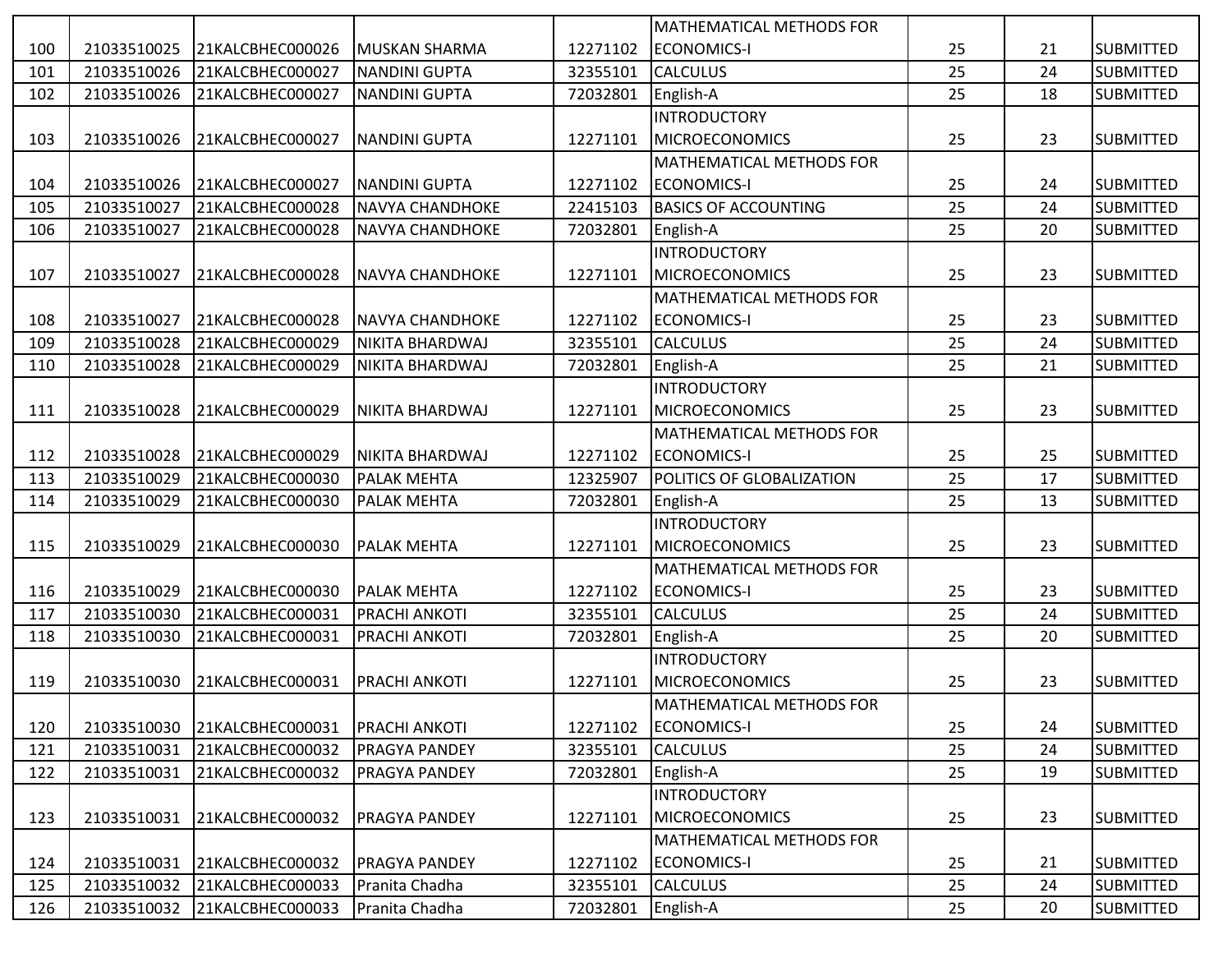|     |             |                  |                        |          | <b>MATHEMATICAL METHODS FOR</b> |    |    |                  |
|-----|-------------|------------------|------------------------|----------|---------------------------------|----|----|------------------|
| 100 | 21033510025 | 21KALCBHEC000026 | MUSKAN SHARMA          | 12271102 | <b>ECONOMICS-I</b>              | 25 | 21 | <b>SUBMITTED</b> |
| 101 | 21033510026 | 21KALCBHEC000027 | <b>NANDINI GUPTA</b>   | 32355101 | <b>CALCULUS</b>                 | 25 | 24 | <b>SUBMITTED</b> |
| 102 | 21033510026 | 21KALCBHEC000027 | <b>NANDINI GUPTA</b>   | 72032801 | English-A                       | 25 | 18 | <b>SUBMITTED</b> |
|     |             |                  |                        |          | <b>INTRODUCTORY</b>             |    |    |                  |
| 103 | 21033510026 | 21KALCBHEC000027 | <b>NANDINI GUPTA</b>   | 12271101 | <b>MICROECONOMICS</b>           | 25 | 23 | <b>SUBMITTED</b> |
|     |             |                  |                        |          | <b>MATHEMATICAL METHODS FOR</b> |    |    |                  |
| 104 | 21033510026 | 21KALCBHEC000027 | <b>NANDINI GUPTA</b>   | 12271102 | <b>ECONOMICS-I</b>              | 25 | 24 | <b>SUBMITTED</b> |
| 105 | 21033510027 | 21KALCBHEC000028 | <b>NAVYA CHANDHOKE</b> | 22415103 | <b>BASICS OF ACCOUNTING</b>     | 25 | 24 | <b>SUBMITTED</b> |
| 106 | 21033510027 | 21KALCBHEC000028 | NAVYA CHANDHOKE        | 72032801 | English-A                       | 25 | 20 | <b>SUBMITTED</b> |
|     |             |                  |                        |          | <b>INTRODUCTORY</b>             |    |    |                  |
| 107 | 21033510027 | 21KALCBHEC000028 | <b>NAVYA CHANDHOKE</b> | 12271101 | <b>MICROECONOMICS</b>           | 25 | 23 | <b>SUBMITTED</b> |
|     |             |                  |                        |          | MATHEMATICAL METHODS FOR        |    |    |                  |
| 108 | 21033510027 | 21KALCBHEC000028 | <b>NAVYA CHANDHOKE</b> | 12271102 | <b>ECONOMICS-I</b>              | 25 | 23 | <b>SUBMITTED</b> |
| 109 | 21033510028 | 21KALCBHEC000029 | NIKITA BHARDWAJ        | 32355101 | <b>CALCULUS</b>                 | 25 | 24 | <b>SUBMITTED</b> |
| 110 | 21033510028 | 21KALCBHEC000029 | NIKITA BHARDWAJ        | 72032801 | English-A                       | 25 | 21 | <b>SUBMITTED</b> |
|     |             |                  |                        |          | <b>INTRODUCTORY</b>             |    |    |                  |
| 111 | 21033510028 | 21KALCBHEC000029 | <b>NIKITA BHARDWAJ</b> | 12271101 | <b>MICROECONOMICS</b>           | 25 | 23 | <b>SUBMITTED</b> |
|     |             |                  |                        |          | <b>MATHEMATICAL METHODS FOR</b> |    |    |                  |
| 112 | 21033510028 | 21KALCBHEC000029 | NIKITA BHARDWAJ        | 12271102 | <b>ECONOMICS-I</b>              | 25 | 25 | <b>SUBMITTED</b> |
| 113 | 21033510029 | 21KALCBHEC000030 | <b>PALAK MEHTA</b>     | 12325907 | POLITICS OF GLOBALIZATION       | 25 | 17 | <b>SUBMITTED</b> |
| 114 | 21033510029 | 21KALCBHEC000030 | PALAK MEHTA            | 72032801 | English-A                       | 25 | 13 | <b>SUBMITTED</b> |
|     |             |                  |                        |          | <b>INTRODUCTORY</b>             |    |    |                  |
| 115 | 21033510029 | 21KALCBHEC000030 | <b>PALAK MEHTA</b>     | 12271101 | <b>MICROECONOMICS</b>           | 25 | 23 | <b>SUBMITTED</b> |
|     |             |                  |                        |          | <b>MATHEMATICAL METHODS FOR</b> |    |    |                  |
| 116 | 21033510029 | 21KALCBHEC000030 | <b>PALAK MEHTA</b>     | 12271102 | <b>ECONOMICS-I</b>              | 25 | 23 | <b>SUBMITTED</b> |
| 117 | 21033510030 | 21KALCBHEC000031 | PRACHI ANKOTI          | 32355101 | <b>CALCULUS</b>                 | 25 | 24 | <b>SUBMITTED</b> |
| 118 | 21033510030 | 21KALCBHEC000031 | PRACHI ANKOTI          | 72032801 | English-A                       | 25 | 20 | <b>SUBMITTED</b> |
|     |             |                  |                        |          | <b>INTRODUCTORY</b>             |    |    |                  |
| 119 | 21033510030 | 21KALCBHEC000031 | <b>PRACHI ANKOTI</b>   | 12271101 | <b>MICROECONOMICS</b>           | 25 | 23 | <b>SUBMITTED</b> |
|     |             |                  |                        |          | <b>MATHEMATICAL METHODS FOR</b> |    |    |                  |
| 120 | 21033510030 | 21KALCBHEC000031 | PRACHI ANKOTI          | 12271102 | <b>ECONOMICS-I</b>              | 25 | 24 | <b>SUBMITTED</b> |
| 121 | 21033510031 | 21KALCBHEC000032 | PRAGYA PANDEY          | 32355101 | <b>CALCULUS</b>                 | 25 | 24 | <b>SUBMITTED</b> |
| 122 | 21033510031 | 21KALCBHEC000032 | PRAGYA PANDEY          | 72032801 | English-A                       | 25 | 19 | <b>SUBMITTED</b> |
|     |             |                  |                        |          | <b>INTRODUCTORY</b>             |    |    |                  |
| 123 | 21033510031 | 21KALCBHEC000032 | PRAGYA PANDEY          | 12271101 | <b>MICROECONOMICS</b>           | 25 | 23 | <b>SUBMITTED</b> |
|     |             |                  |                        |          | MATHEMATICAL METHODS FOR        |    |    |                  |
| 124 | 21033510031 | 21KALCBHEC000032 | <b>PRAGYA PANDEY</b>   | 12271102 | <b>ECONOMICS-I</b>              | 25 | 21 | <b>SUBMITTED</b> |
| 125 | 21033510032 | 21KALCBHEC000033 | Pranita Chadha         | 32355101 | <b>CALCULUS</b>                 | 25 | 24 | <b>SUBMITTED</b> |
| 126 | 21033510032 | 21KALCBHEC000033 | Pranita Chadha         | 72032801 | English-A                       | 25 | 20 | <b>SUBMITTED</b> |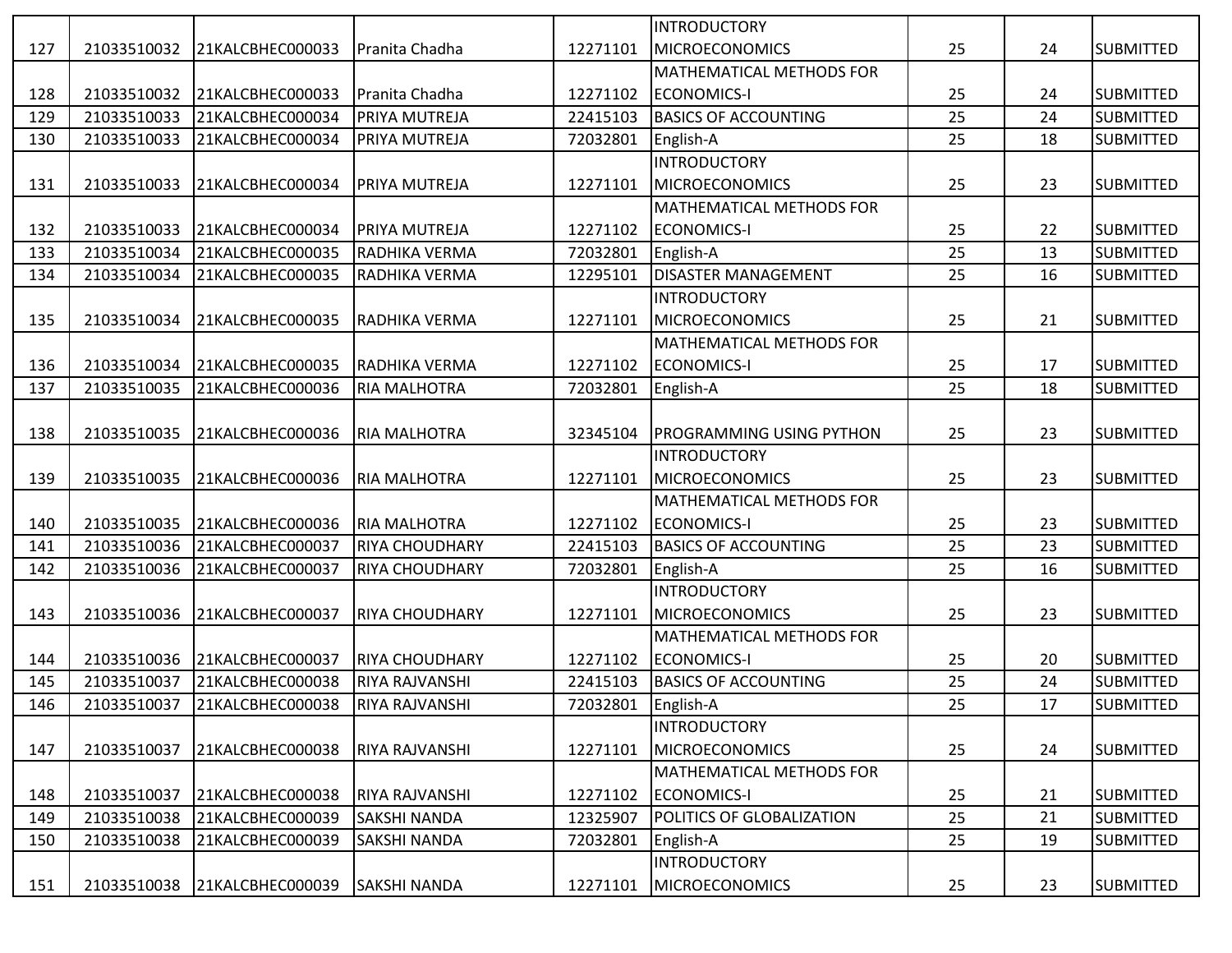|     |             |                  |                       |          | <b>INTRODUCTORY</b>             |    |    |                  |
|-----|-------------|------------------|-----------------------|----------|---------------------------------|----|----|------------------|
| 127 | 21033510032 | 21KALCBHEC000033 | Pranita Chadha        | 12271101 | <b>MICROECONOMICS</b>           | 25 | 24 | <b>SUBMITTED</b> |
|     |             |                  |                       |          | MATHEMATICAL METHODS FOR        |    |    |                  |
| 128 | 21033510032 | 21KALCBHEC000033 | Pranita Chadha        | 12271102 | <b>ECONOMICS-I</b>              | 25 | 24 | <b>SUBMITTED</b> |
| 129 | 21033510033 | 21KALCBHEC000034 | PRIYA MUTREJA         | 22415103 | <b>BASICS OF ACCOUNTING</b>     | 25 | 24 | <b>SUBMITTED</b> |
| 130 | 21033510033 | 21KALCBHEC000034 | PRIYA MUTREJA         | 72032801 | English-A                       | 25 | 18 | <b>SUBMITTED</b> |
|     |             |                  |                       |          | <b>INTRODUCTORY</b>             |    |    |                  |
| 131 | 21033510033 | 21KALCBHEC000034 | PRIYA MUTREJA         | 12271101 | <b>MICROECONOMICS</b>           | 25 | 23 | <b>SUBMITTED</b> |
|     |             |                  |                       |          | MATHEMATICAL METHODS FOR        |    |    |                  |
| 132 | 21033510033 | 21KALCBHEC000034 | <b>PRIYA MUTREJA</b>  | 12271102 | <b>ECONOMICS-I</b>              | 25 | 22 | <b>SUBMITTED</b> |
| 133 | 21033510034 | 21KALCBHEC000035 | RADHIKA VERMA         | 72032801 | English-A                       | 25 | 13 | <b>SUBMITTED</b> |
| 134 | 21033510034 | 21KALCBHEC000035 | RADHIKA VERMA         | 12295101 | DISASTER MANAGEMENT             | 25 | 16 | <b>SUBMITTED</b> |
|     |             |                  |                       |          | <b>INTRODUCTORY</b>             |    |    |                  |
| 135 | 21033510034 | 21KALCBHEC000035 | RADHIKA VERMA         | 12271101 | <b>MICROECONOMICS</b>           | 25 | 21 | <b>SUBMITTED</b> |
|     |             |                  |                       |          | MATHEMATICAL METHODS FOR        |    |    |                  |
| 136 | 21033510034 | 21KALCBHEC000035 | RADHIKA VERMA         | 12271102 | <b>ECONOMICS-I</b>              | 25 | 17 | <b>SUBMITTED</b> |
| 137 | 21033510035 | 21KALCBHEC000036 | <b>RIA MALHOTRA</b>   | 72032801 | English-A                       | 25 | 18 | <b>SUBMITTED</b> |
|     |             |                  |                       |          |                                 |    |    |                  |
| 138 | 21033510035 | 21KALCBHEC000036 | <b>RIA MALHOTRA</b>   | 32345104 | PROGRAMMING USING PYTHON        | 25 | 23 | <b>SUBMITTED</b> |
|     |             |                  |                       |          | <b>INTRODUCTORY</b>             |    |    |                  |
| 139 | 21033510035 | 21KALCBHEC000036 | <b>RIA MALHOTRA</b>   | 12271101 | <b>MICROECONOMICS</b>           | 25 | 23 | <b>SUBMITTED</b> |
|     |             |                  |                       |          | MATHEMATICAL METHODS FOR        |    |    |                  |
| 140 | 21033510035 | 21KALCBHEC000036 | <b>RIA MALHOTRA</b>   | 12271102 | <b>ECONOMICS-I</b>              | 25 | 23 | <b>SUBMITTED</b> |
| 141 | 21033510036 | 21KALCBHEC000037 | <b>RIYA CHOUDHARY</b> | 22415103 | <b>BASICS OF ACCOUNTING</b>     | 25 | 23 | <b>SUBMITTED</b> |
| 142 | 21033510036 | 21KALCBHEC000037 | <b>RIYA CHOUDHARY</b> | 72032801 | English-A                       | 25 | 16 | <b>SUBMITTED</b> |
|     |             |                  |                       |          | <b>INTRODUCTORY</b>             |    |    |                  |
| 143 | 21033510036 | 21KALCBHEC000037 | <b>RIYA CHOUDHARY</b> | 12271101 | <b>MICROECONOMICS</b>           | 25 | 23 | <b>SUBMITTED</b> |
|     |             |                  |                       |          | MATHEMATICAL METHODS FOR        |    |    |                  |
| 144 | 21033510036 | 21KALCBHEC000037 | <b>RIYA CHOUDHARY</b> | 12271102 | <b>ECONOMICS-I</b>              | 25 | 20 | <b>SUBMITTED</b> |
| 145 | 21033510037 | 21KALCBHEC000038 | <b>RIYA RAJVANSHI</b> | 22415103 | <b>BASICS OF ACCOUNTING</b>     | 25 | 24 | <b>SUBMITTED</b> |
| 146 | 21033510037 | 21KALCBHEC000038 | <b>RIYA RAJVANSHI</b> | 72032801 | English-A                       | 25 | 17 | <b>SUBMITTED</b> |
|     |             |                  |                       |          | <b>INTRODUCTORY</b>             |    |    |                  |
| 147 | 21033510037 | 21KALCBHEC000038 | <b>RIYA RAJVANSHI</b> | 12271101 | <b>MICROECONOMICS</b>           | 25 | 24 | <b>SUBMITTED</b> |
|     |             |                  |                       |          | <b>MATHEMATICAL METHODS FOR</b> |    |    |                  |
| 148 | 21033510037 | 21KALCBHEC000038 | <b>RIYA RAJVANSHI</b> | 12271102 | <b>ECONOMICS-I</b>              | 25 | 21 | <b>SUBMITTED</b> |
| 149 | 21033510038 | 21KALCBHEC000039 | <b>SAKSHI NANDA</b>   | 12325907 | POLITICS OF GLOBALIZATION       | 25 | 21 | <b>SUBMITTED</b> |
| 150 | 21033510038 | 21KALCBHEC000039 | SAKSHI NANDA          | 72032801 | English-A                       | 25 | 19 | <b>SUBMITTED</b> |
|     |             |                  |                       |          | <b>INTRODUCTORY</b>             |    |    |                  |
| 151 | 21033510038 | 21KALCBHEC000039 | <b>SAKSHI NANDA</b>   | 12271101 | <b>MICROECONOMICS</b>           | 25 | 23 | <b>SUBMITTED</b> |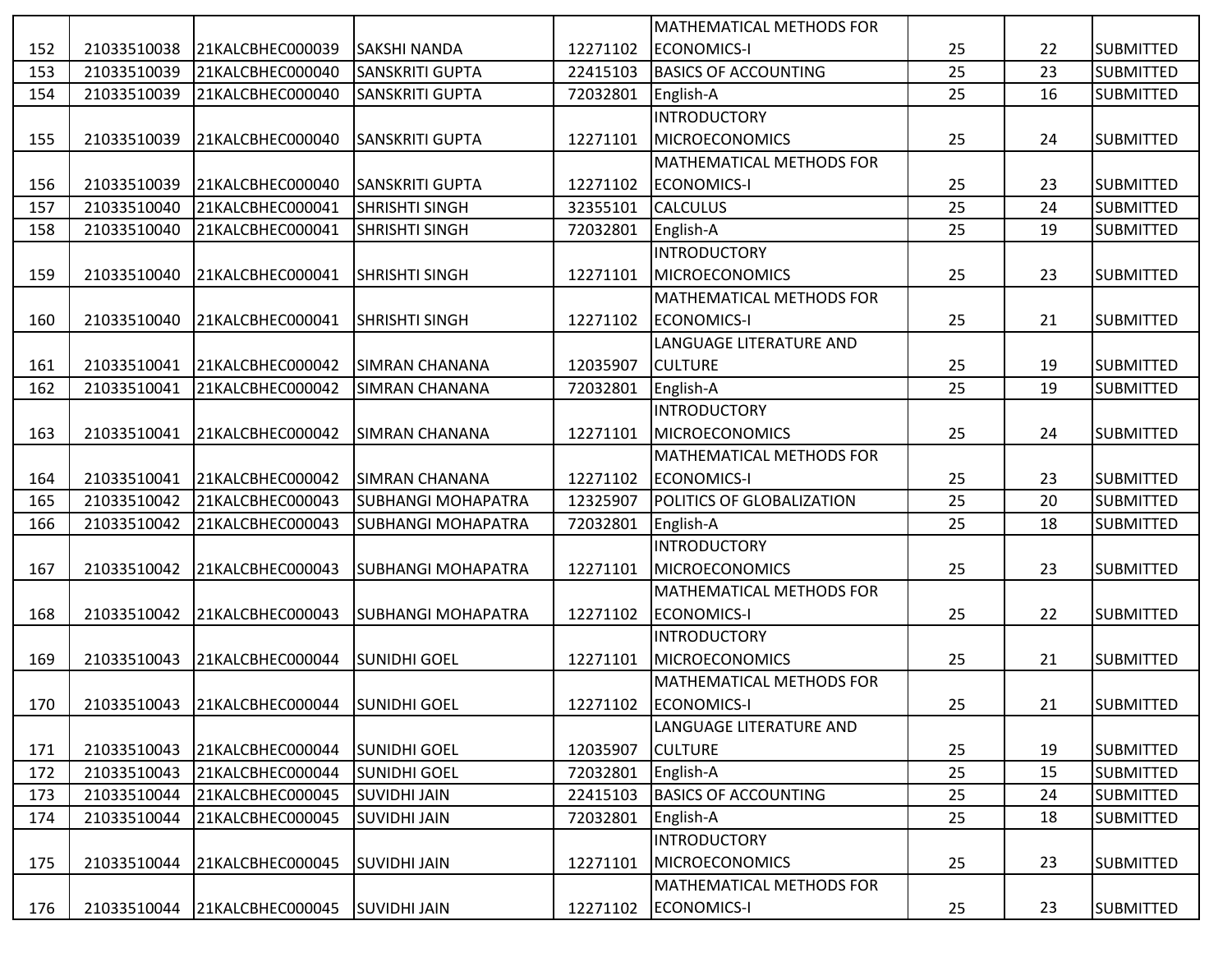|     |             |                                           |                           |          | <b>MATHEMATICAL METHODS FOR</b> |    |    |                  |
|-----|-------------|-------------------------------------------|---------------------------|----------|---------------------------------|----|----|------------------|
| 152 | 21033510038 | 21KALCBHEC000039                          | <b>SAKSHI NANDA</b>       | 12271102 | <b>ECONOMICS-I</b>              | 25 | 22 | <b>SUBMITTED</b> |
| 153 | 21033510039 | 21KALCBHEC000040                          | SANSKRITI GUPTA           | 22415103 | <b>BASICS OF ACCOUNTING</b>     | 25 | 23 | <b>SUBMITTED</b> |
| 154 | 21033510039 | 21KALCBHEC000040                          | <b>SANSKRITI GUPTA</b>    | 72032801 | English-A                       | 25 | 16 | <b>SUBMITTED</b> |
|     |             |                                           |                           |          | <b>INTRODUCTORY</b>             |    |    |                  |
| 155 | 21033510039 | 21KALCBHEC000040                          | <b>SANSKRITI GUPTA</b>    | 12271101 | <b>MICROECONOMICS</b>           | 25 | 24 | <b>SUBMITTED</b> |
|     |             |                                           |                           |          | <b>MATHEMATICAL METHODS FOR</b> |    |    |                  |
| 156 | 21033510039 | 21KALCBHEC000040                          | <b>SANSKRITI GUPTA</b>    | 12271102 | <b>ECONOMICS-I</b>              | 25 | 23 | <b>SUBMITTED</b> |
| 157 | 21033510040 | 21KALCBHEC000041                          | <b>SHRISHTI SINGH</b>     | 32355101 | <b>CALCULUS</b>                 | 25 | 24 | <b>SUBMITTED</b> |
| 158 | 21033510040 | 21KALCBHEC000041                          | SHRISHTI SINGH            | 72032801 | English-A                       | 25 | 19 | <b>SUBMITTED</b> |
|     |             |                                           |                           |          | <b>INTRODUCTORY</b>             |    |    |                  |
| 159 | 21033510040 | 21KALCBHEC000041                          | <b>SHRISHTI SINGH</b>     | 12271101 | <b>MICROECONOMICS</b>           | 25 | 23 | <b>SUBMITTED</b> |
|     |             |                                           |                           |          | <b>MATHEMATICAL METHODS FOR</b> |    |    |                  |
| 160 | 21033510040 | 21KALCBHEC000041                          | <b>SHRISHTI SINGH</b>     | 12271102 | <b>ECONOMICS-I</b>              | 25 | 21 | <b>SUBMITTED</b> |
|     |             |                                           |                           |          | LANGUAGE LITERATURE AND         |    |    |                  |
| 161 | 21033510041 | 21KALCBHEC000042                          | <b>SIMRAN CHANANA</b>     | 12035907 | <b>CULTURE</b>                  | 25 | 19 | <b>SUBMITTED</b> |
| 162 | 21033510041 | 21KALCBHEC000042                          | SIMRAN CHANANA            | 72032801 | English-A                       | 25 | 19 | <b>SUBMITTED</b> |
|     |             |                                           |                           |          | <b>INTRODUCTORY</b>             |    |    |                  |
| 163 | 21033510041 | 21KALCBHEC000042                          | <b>SIMRAN CHANANA</b>     | 12271101 | <b>MICROECONOMICS</b>           | 25 | 24 | <b>SUBMITTED</b> |
|     |             |                                           |                           |          | <b>MATHEMATICAL METHODS FOR</b> |    |    |                  |
| 164 | 21033510041 | 21KALCBHEC000042                          | <b>SIMRAN CHANANA</b>     | 12271102 | <b>ECONOMICS-I</b>              | 25 | 23 | <b>SUBMITTED</b> |
| 165 | 21033510042 | 21KALCBHEC000043                          | <b>SUBHANGI MOHAPATRA</b> | 12325907 | POLITICS OF GLOBALIZATION       | 25 | 20 | <b>SUBMITTED</b> |
| 166 | 21033510042 | 21KALCBHEC000043                          | <b>SUBHANGI MOHAPATRA</b> | 72032801 | English-A                       | 25 | 18 | <b>SUBMITTED</b> |
|     |             |                                           |                           |          | <b>INTRODUCTORY</b>             |    |    |                  |
| 167 | 21033510042 | 21KALCBHEC000043                          | <b>SUBHANGI MOHAPATRA</b> | 12271101 | <b>MICROECONOMICS</b>           | 25 | 23 | <b>SUBMITTED</b> |
|     |             |                                           |                           |          | <b>MATHEMATICAL METHODS FOR</b> |    |    |                  |
| 168 | 21033510042 | 21KALCBHEC000043                          | <b>SUBHANGI MOHAPATRA</b> | 12271102 | <b>ECONOMICS-I</b>              | 25 | 22 | <b>SUBMITTED</b> |
|     |             |                                           |                           |          | <b>INTRODUCTORY</b>             |    |    |                  |
| 169 | 21033510043 | 21KALCBHEC000044                          | <b>SUNIDHI GOEL</b>       | 12271101 | <b>MICROECONOMICS</b>           | 25 | 21 | <b>SUBMITTED</b> |
|     |             |                                           |                           |          | MATHEMATICAL METHODS FOR        |    |    |                  |
| 170 |             | 21033510043 21KALCBHEC000044 SUNIDHI GOEL |                           |          | 12271102 ECONOMICS-I            | 25 | 21 | <b>SUBMITTED</b> |
|     |             |                                           |                           |          | LANGUAGE LITERATURE AND         |    |    |                  |
| 171 | 21033510043 | 21KALCBHEC000044                          | <b>SUNIDHI GOEL</b>       | 12035907 | <b>CULTURE</b>                  | 25 | 19 | <b>SUBMITTED</b> |
| 172 | 21033510043 | 21KALCBHEC000044                          | <b>SUNIDHI GOEL</b>       | 72032801 | English-A                       | 25 | 15 | <b>SUBMITTED</b> |
| 173 | 21033510044 | 21KALCBHEC000045                          | <b>SUVIDHI JAIN</b>       | 22415103 | <b>BASICS OF ACCOUNTING</b>     | 25 | 24 | <b>SUBMITTED</b> |
| 174 | 21033510044 | 21KALCBHEC000045                          | <b>SUVIDHI JAIN</b>       | 72032801 | English-A                       | 25 | 18 | SUBMITTED        |
|     |             |                                           |                           |          | <b>INTRODUCTORY</b>             |    |    |                  |
| 175 | 21033510044 | 21KALCBHEC000045                          | <b>SUVIDHI JAIN</b>       | 12271101 | <b>MICROECONOMICS</b>           | 25 | 23 | <b>SUBMITTED</b> |
|     |             |                                           |                           |          | <b>MATHEMATICAL METHODS FOR</b> |    |    |                  |
| 176 | 21033510044 | 21KALCBHEC000045                          | <b>SUVIDHI JAIN</b>       | 12271102 | ECONOMICS-I                     | 25 | 23 | <b>SUBMITTED</b> |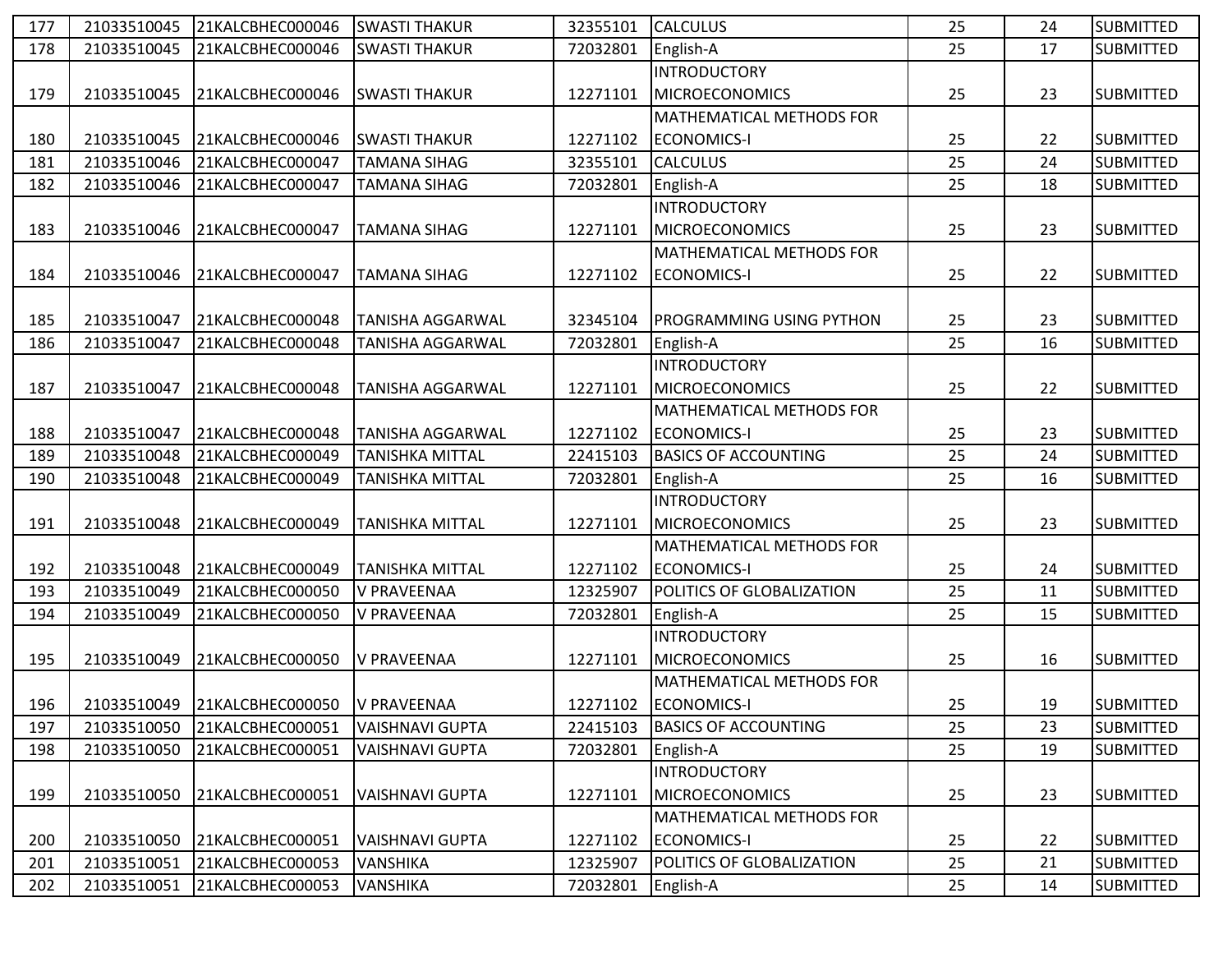| 177 | 21033510045 | 21KALCBHEC000046             | <b>SWASTI THAKUR</b>    | 32355101 | <b>CALCULUS</b>                  | 25 | 24 | <b>SUBMITTED</b> |
|-----|-------------|------------------------------|-------------------------|----------|----------------------------------|----|----|------------------|
| 178 | 21033510045 | 21KALCBHEC000046             | <b>SWASTI THAKUR</b>    | 72032801 | English-A                        | 25 | 17 | <b>SUBMITTED</b> |
|     |             |                              |                         |          | <b>INTRODUCTORY</b>              |    |    |                  |
| 179 | 21033510045 | 21KALCBHEC000046             | <b>SWASTI THAKUR</b>    | 12271101 | <b>MICROECONOMICS</b>            | 25 | 23 | <b>SUBMITTED</b> |
|     |             |                              |                         |          | <b>MATHEMATICAL METHODS FOR</b>  |    |    |                  |
| 180 | 21033510045 | 21KALCBHEC000046             | <b>SWASTI THAKUR</b>    | 12271102 | <b>ECONOMICS-I</b>               | 25 | 22 | <b>SUBMITTED</b> |
| 181 | 21033510046 | 21KALCBHEC000047             | <b>TAMANA SIHAG</b>     | 32355101 | <b>CALCULUS</b>                  | 25 | 24 | <b>SUBMITTED</b> |
| 182 | 21033510046 | 21KALCBHEC000047             | <b>TAMANA SIHAG</b>     | 72032801 | English-A                        | 25 | 18 | <b>SUBMITTED</b> |
|     |             |                              |                         |          | <b>INTRODUCTORY</b>              |    |    |                  |
| 183 | 21033510046 | 21KALCBHEC000047             | <b>TAMANA SIHAG</b>     | 12271101 | <b>MICROECONOMICS</b>            | 25 | 23 | <b>SUBMITTED</b> |
|     |             |                              |                         |          | <b>MATHEMATICAL METHODS FOR</b>  |    |    |                  |
| 184 | 21033510046 | 21KALCBHEC000047             | <b>TAMANA SIHAG</b>     | 12271102 | <b>ECONOMICS-I</b>               | 25 | 22 | <b>SUBMITTED</b> |
|     |             |                              |                         |          |                                  |    |    |                  |
| 185 | 21033510047 | 21KALCBHEC000048             | <b>TANISHA AGGARWAL</b> | 32345104 | <b>PROGRAMMING USING PYTHON</b>  | 25 | 23 | <b>SUBMITTED</b> |
| 186 | 21033510047 | 21KALCBHEC000048             | <b>TANISHA AGGARWAL</b> | 72032801 | English-A                        | 25 | 16 | <b>SUBMITTED</b> |
|     |             |                              |                         |          | <b>INTRODUCTORY</b>              |    |    |                  |
| 187 | 21033510047 | 21KALCBHEC000048             | <b>TANISHA AGGARWAL</b> | 12271101 | <b>MICROECONOMICS</b>            | 25 | 22 | <b>SUBMITTED</b> |
|     |             |                              |                         |          | MATHEMATICAL METHODS FOR         |    |    |                  |
| 188 | 21033510047 | 21KALCBHEC000048             | <b>TANISHA AGGARWAL</b> | 12271102 | <b>ECONOMICS-I</b>               | 25 | 23 | <b>SUBMITTED</b> |
| 189 | 21033510048 | 21KALCBHEC000049             | <b>TANISHKA MITTAL</b>  | 22415103 | <b>BASICS OF ACCOUNTING</b>      | 25 | 24 | <b>SUBMITTED</b> |
| 190 | 21033510048 | 21KALCBHEC000049             | TANISHKA MITTAL         | 72032801 | English-A                        | 25 | 16 | <b>SUBMITTED</b> |
|     |             |                              |                         |          | <b>INTRODUCTORY</b>              |    |    |                  |
| 191 | 21033510048 | 21KALCBHEC000049             | <b>TANISHKA MITTAL</b>  | 12271101 | <b>MICROECONOMICS</b>            | 25 | 23 | <b>SUBMITTED</b> |
|     |             |                              |                         |          | <b>MATHEMATICAL METHODS FOR</b>  |    |    |                  |
| 192 | 21033510048 | 21KALCBHEC000049             | <b>TANISHKA MITTAL</b>  | 12271102 | ECONOMICS-I                      | 25 | 24 | <b>SUBMITTED</b> |
| 193 | 21033510049 | 21KALCBHEC000050             | <b>V PRAVEENAA</b>      | 12325907 | <b>POLITICS OF GLOBALIZATION</b> | 25 | 11 | <b>SUBMITTED</b> |
| 194 | 21033510049 | 21KALCBHEC000050             | V PRAVEENAA             | 72032801 | English-A                        | 25 | 15 | <b>SUBMITTED</b> |
|     |             |                              |                         |          | <b>INTRODUCTORY</b>              |    |    |                  |
| 195 | 21033510049 | 21KALCBHEC000050             | <b>V PRAVEENAA</b>      | 12271101 | <b>MICROECONOMICS</b>            | 25 | 16 | <b>SUBMITTED</b> |
|     |             |                              |                         |          | MATHEMATICAL METHODS FOR         |    |    |                  |
| 196 |             | 21033510049 21KALCBHEC000050 | V PRAVEENAA             |          | 12271102 ECONOMICS-I             | 25 | 19 | <b>SUBMITTED</b> |
| 197 | 21033510050 | 21KALCBHEC000051             | <b>VAISHNAVI GUPTA</b>  | 22415103 | <b>BASICS OF ACCOUNTING</b>      | 25 | 23 | <b>SUBMITTED</b> |
| 198 | 21033510050 | 21KALCBHEC000051             | VAISHNAVI GUPTA         | 72032801 | English-A                        | 25 | 19 | <b>SUBMITTED</b> |
|     |             |                              |                         |          | <b>INTRODUCTORY</b>              |    |    |                  |
| 199 | 21033510050 | 21KALCBHEC000051             | <b>VAISHNAVI GUPTA</b>  | 12271101 | <b>MICROECONOMICS</b>            | 25 | 23 | <b>SUBMITTED</b> |
|     |             |                              |                         |          | MATHEMATICAL METHODS FOR         |    |    |                  |
| 200 | 21033510050 | 21KALCBHEC000051             | <b>VAISHNAVI GUPTA</b>  | 12271102 | <b>ECONOMICS-I</b>               | 25 | 22 | <b>SUBMITTED</b> |
| 201 | 21033510051 | 21KALCBHEC000053             | VANSHIKA                | 12325907 | <b>POLITICS OF GLOBALIZATION</b> | 25 | 21 | <b>SUBMITTED</b> |
| 202 | 21033510051 | 21KALCBHEC000053             | <b>VANSHIKA</b>         | 72032801 | English-A                        | 25 | 14 | <b>SUBMITTED</b> |